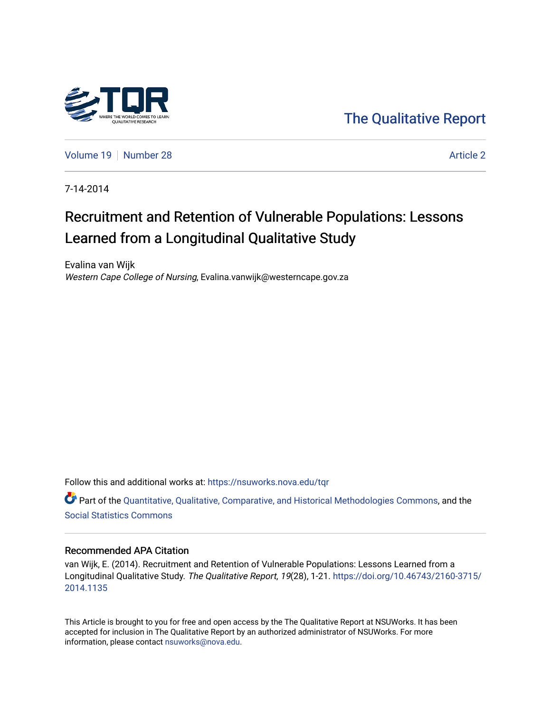

[The Qualitative Report](https://nsuworks.nova.edu/tqr) 

[Volume 19](https://nsuworks.nova.edu/tqr/vol19) [Number 28](https://nsuworks.nova.edu/tqr/vol19/iss28) [Article 2](https://nsuworks.nova.edu/tqr/vol19/iss28/2) Article 2 Article 2 Article 2 Article 2 Article 2 Article 2 Article 2 Article 2

7-14-2014

## Recruitment and Retention of Vulnerable Populations: Lessons Learned from a Longitudinal Qualitative Study

Evalina van Wijk Western Cape College of Nursing, Evalina.vanwijk@westerncape.gov.za

Follow this and additional works at: [https://nsuworks.nova.edu/tqr](https://nsuworks.nova.edu/tqr?utm_source=nsuworks.nova.edu%2Ftqr%2Fvol19%2Fiss28%2F2&utm_medium=PDF&utm_campaign=PDFCoverPages) 

Part of the [Quantitative, Qualitative, Comparative, and Historical Methodologies Commons,](http://network.bepress.com/hgg/discipline/423?utm_source=nsuworks.nova.edu%2Ftqr%2Fvol19%2Fiss28%2F2&utm_medium=PDF&utm_campaign=PDFCoverPages) and the [Social Statistics Commons](http://network.bepress.com/hgg/discipline/1275?utm_source=nsuworks.nova.edu%2Ftqr%2Fvol19%2Fiss28%2F2&utm_medium=PDF&utm_campaign=PDFCoverPages) 

#### Recommended APA Citation

van Wijk, E. (2014). Recruitment and Retention of Vulnerable Populations: Lessons Learned from a Longitudinal Qualitative Study. The Qualitative Report, 19(28), 1-21. [https://doi.org/10.46743/2160-3715/](https://doi.org/10.46743/2160-3715/2014.1135) [2014.1135](https://doi.org/10.46743/2160-3715/2014.1135) 

This Article is brought to you for free and open access by the The Qualitative Report at NSUWorks. It has been accepted for inclusion in The Qualitative Report by an authorized administrator of NSUWorks. For more information, please contact [nsuworks@nova.edu.](mailto:nsuworks@nova.edu)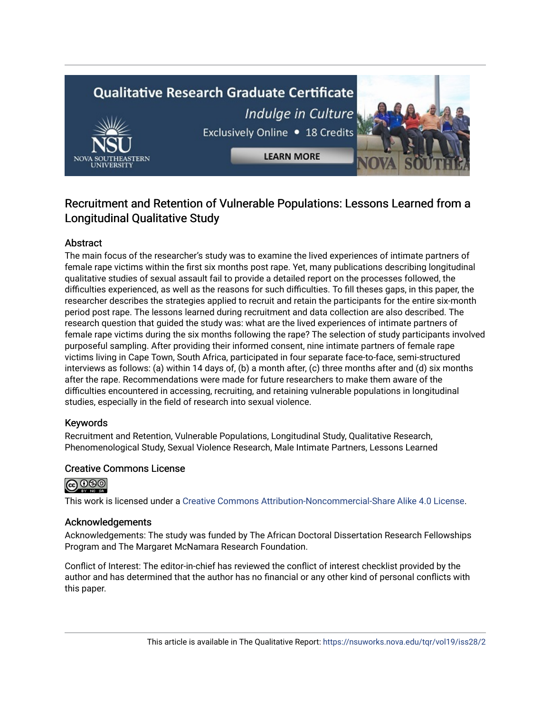# **Qualitative Research Graduate Certificate** Indulge in Culture Exclusively Online . 18 Credits

**LEARN MORE** 

### Recruitment and Retention of Vulnerable Populations: Lessons Learned from a Longitudinal Qualitative Study

#### Abstract

The main focus of the researcher's study was to examine the lived experiences of intimate partners of female rape victims within the first six months post rape. Yet, many publications describing longitudinal qualitative studies of sexual assault fail to provide a detailed report on the processes followed, the difficulties experienced, as well as the reasons for such difficulties. To fill theses gaps, in this paper, the researcher describes the strategies applied to recruit and retain the participants for the entire six-month period post rape. The lessons learned during recruitment and data collection are also described. The research question that guided the study was: what are the lived experiences of intimate partners of female rape victims during the six months following the rape? The selection of study participants involved purposeful sampling. After providing their informed consent, nine intimate partners of female rape victims living in Cape Town, South Africa, participated in four separate face-to-face, semi-structured interviews as follows: (a) within 14 days of, (b) a month after, (c) three months after and (d) six months after the rape. Recommendations were made for future researchers to make them aware of the difficulties encountered in accessing, recruiting, and retaining vulnerable populations in longitudinal studies, especially in the field of research into sexual violence.

#### Keywords

Recruitment and Retention, Vulnerable Populations, Longitudinal Study, Qualitative Research, Phenomenological Study, Sexual Violence Research, Male Intimate Partners, Lessons Learned

#### Creative Commons License



This work is licensed under a [Creative Commons Attribution-Noncommercial-Share Alike 4.0 License](https://creativecommons.org/licenses/by-nc-sa/4.0/).

#### Acknowledgements

Acknowledgements: The study was funded by The African Doctoral Dissertation Research Fellowships Program and The Margaret McNamara Research Foundation.

Conflict of Interest: The editor-in-chief has reviewed the conflict of interest checklist provided by the author and has determined that the author has no financial or any other kind of personal conflicts with this paper.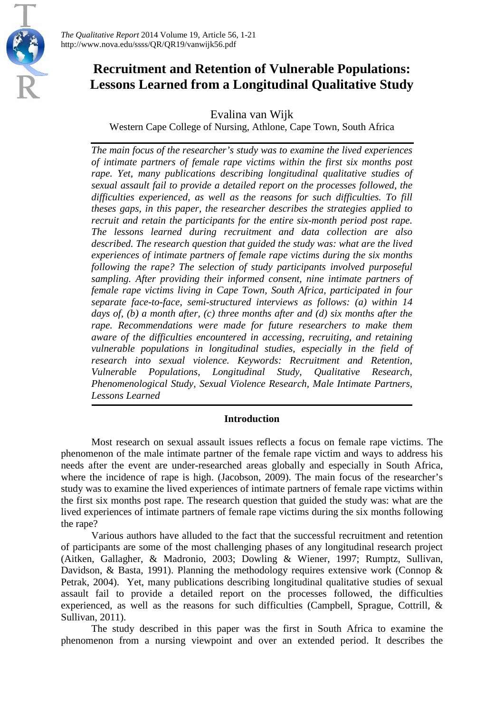

*The Qualitative Report* 2014 Volume 19, Article 56, 1-21 http://www.nova.edu/ssss/QR/QR19/vanwijk56.pdf

## **Recruitment and Retention of Vulnerable Populations: Lessons Learned from a Longitudinal Qualitative Study**

Evalina van Wijk

Western Cape College of Nursing, Athlone, Cape Town, South Africa

*The main focus of the researcher's study was to examine the lived experiences of intimate partners of female rape victims within the first six months post rape. Yet, many publications describing longitudinal qualitative studies of sexual assault fail to provide a detailed report on the processes followed, the difficulties experienced, as well as the reasons for such difficulties. To fill theses gaps, in this paper, the researcher describes the strategies applied to recruit and retain the participants for the entire six-month period post rape. The lessons learned during recruitment and data collection are also described. The research question that guided the study was: what are the lived experiences of intimate partners of female rape victims during the six months following the rape? The selection of study participants involved purposeful sampling. After providing their informed consent, nine intimate partners of female rape victims living in Cape Town, South Africa, participated in four separate face-to-face, semi-structured interviews as follows: (a) within 14 days of, (b) a month after, (c) three months after and (d) six months after the rape. Recommendations were made for future researchers to make them aware of the difficulties encountered in accessing, recruiting, and retaining vulnerable populations in longitudinal studies, especially in the field of research into sexual violence. Keywords: Recruitment and Retention, Vulnerable Populations, Longitudinal Study, Qualitative Research, Phenomenological Study, Sexual Violence Research, Male Intimate Partners, Lessons Learned*

#### **Introduction**

Most research on sexual assault issues reflects a focus on female rape victims. The phenomenon of the male intimate partner of the female rape victim and ways to address his needs after the event are under-researched areas globally and especially in South Africa, where the incidence of rape is high. (Jacobson, 2009). The main focus of the researcher's study was to examine the lived experiences of intimate partners of female rape victims within the first six months post rape. The research question that guided the study was: what are the lived experiences of intimate partners of female rape victims during the six months following the rape?

Various authors have alluded to the fact that the successful recruitment and retention of participants are some of the most challenging phases of any longitudinal research project (Aitken, Gallagher, & Madronio, 2003; Dowling & Wiener, 1997; Rumptz, Sullivan, Davidson, & Basta, 1991). Planning the methodology requires extensive work (Connop & Petrak, 2004). Yet, many publications describing longitudinal qualitative studies of sexual assault fail to provide a detailed report on the processes followed, the difficulties experienced, as well as the reasons for such difficulties (Campbell, Sprague, Cottrill, & Sullivan, 2011).

The study described in this paper was the first in South Africa to examine the phenomenon from a nursing viewpoint and over an extended period. It describes the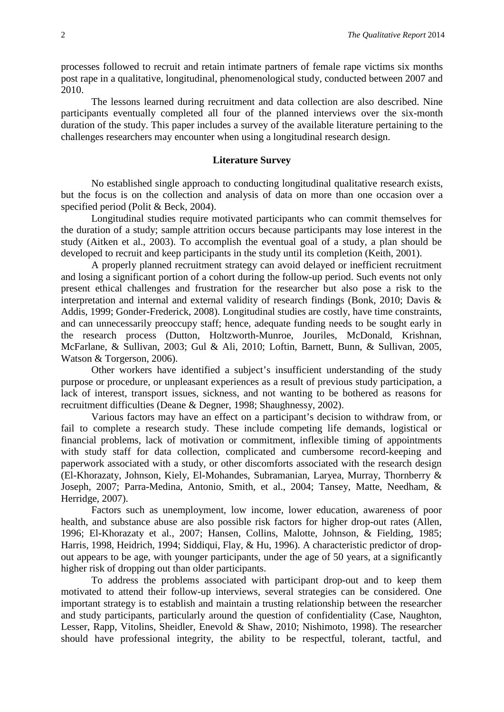processes followed to recruit and retain intimate partners of female rape victims six months post rape in a qualitative, longitudinal, phenomenological study, conducted between 2007 and 2010.

The lessons learned during recruitment and data collection are also described. Nine participants eventually completed all four of the planned interviews over the six-month duration of the study. This paper includes a survey of the available literature pertaining to the challenges researchers may encounter when using a longitudinal research design.

#### **Literature Survey**

No established single approach to conducting longitudinal qualitative research exists, but the focus is on the collection and analysis of data on more than one occasion over a specified period (Polit & Beck, 2004).

Longitudinal studies require motivated participants who can commit themselves for the duration of a study; sample attrition occurs because participants may lose interest in the study (Aitken et al., 2003). To accomplish the eventual goal of a study, a plan should be developed to recruit and keep participants in the study until its completion (Keith, 2001).

A properly planned recruitment strategy can avoid delayed or inefficient recruitment and losing a significant portion of a cohort during the follow-up period. Such events not only present ethical challenges and frustration for the researcher but also pose a risk to the interpretation and internal and external validity of research findings (Bonk, 2010; Davis & Addis, 1999; Gonder-Frederick, 2008). Longitudinal studies are costly, have time constraints, and can unnecessarily preoccupy staff; hence, adequate funding needs to be sought early in the research process (Dutton, Holtzworth-Munroe, Jouriles, McDonald, Krishnan, McFarlane, & Sullivan, 2003; Gul & Ali, 2010; Loftin, Barnett, Bunn, & Sullivan, 2005, Watson & Torgerson, 2006).

Other workers have identified a subject's insufficient understanding of the study purpose or procedure, or unpleasant experiences as a result of previous study participation, a lack of interest, transport issues, sickness, and not wanting to be bothered as reasons for recruitment difficulties (Deane & Degner, 1998; Shaughnessy, 2002).

Various factors may have an effect on a participant's decision to withdraw from, or fail to complete a research study. These include competing life demands, logistical or financial problems, lack of motivation or commitment, inflexible timing of appointments with study staff for data collection, complicated and cumbersome record-keeping and paperwork associated with a study, or other discomforts associated with the research design (El-Khorazaty, Johnson, Kiely, El-Mohandes, Subramanian, Laryea, Murray, Thornberry & Joseph, 2007; Parra-Medina, Antonio, Smith, et al., 2004; Tansey, Matte, Needham, & Herridge, 2007).

Factors such as unemployment, low income, lower education, awareness of poor health, and substance abuse are also possible risk factors for higher drop-out rates (Allen, 1996; El-Khorazaty et al., 2007; Hansen, Collins, Malotte, Johnson, & Fielding, 1985; Harris, 1998, Heidrich, 1994; Siddiqui, Flay, & Hu, 1996). A characteristic predictor of dropout appears to be age, with younger participants, under the age of 50 years, at a significantly higher risk of dropping out than older participants.

To address the problems associated with participant drop-out and to keep them motivated to attend their follow-up interviews, several strategies can be considered. One important strategy is to establish and maintain a trusting relationship between the researcher and study participants, particularly around the question of confidentiality (Case, Naughton, Lesser, Rapp, Vitolins, Sheidler, Enevold & Shaw, 2010; Nishimoto, 1998). The researcher should have professional integrity, the ability to be respectful, tolerant, tactful, and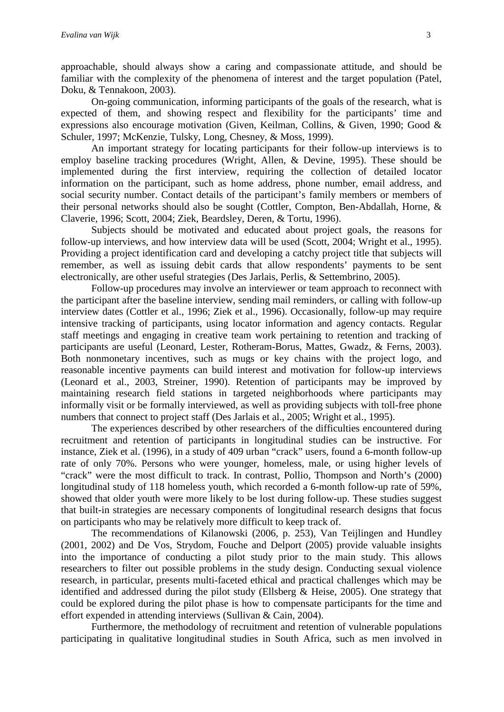approachable, should always show a caring and compassionate attitude, and should be familiar with the complexity of the phenomena of interest and the target population (Patel, Doku, & Tennakoon, 2003).

On-going communication, informing participants of the goals of the research, what is expected of them, and showing respect and flexibility for the participants' time and expressions also encourage motivation (Given, Keilman, Collins, & Given, 1990; Good & Schuler, 1997; McKenzie, Tulsky, Long, Chesney, & Moss, 1999).

An important strategy for locating participants for their follow-up interviews is to employ baseline tracking procedures (Wright, Allen, & Devine, 1995). These should be implemented during the first interview, requiring the collection of detailed locator information on the participant, such as home address, phone number, email address, and social security number. Contact details of the participant's family members or members of their personal networks should also be sought (Cottler, Compton, Ben-Abdallah, Horne, & Claverie, 1996; Scott, 2004; Ziek, Beardsley, Deren, & Tortu, 1996).

Subjects should be motivated and educated about project goals, the reasons for follow-up interviews, and how interview data will be used (Scott, 2004; Wright et al., 1995). Providing a project identification card and developing a catchy project title that subjects will remember, as well as issuing debit cards that allow respondents' payments to be sent electronically, are other useful strategies (Des Jarlais, Perlis, & Settembrino, 2005).

Follow-up procedures may involve an interviewer or team approach to reconnect with the participant after the baseline interview, sending mail reminders, or calling with follow-up interview dates (Cottler et al., 1996; Ziek et al., 1996). Occasionally, follow-up may require intensive tracking of participants, using locator information and agency contacts. Regular staff meetings and engaging in creative team work pertaining to retention and tracking of participants are useful (Leonard, Lester, Rotheram-Borus, Mattes, Gwadz, & Ferns, 2003). Both nonmonetary incentives, such as mugs or key chains with the project logo, and reasonable incentive payments can build interest and motivation for follow-up interviews (Leonard et al., 2003, Streiner, 1990). Retention of participants may be improved by maintaining research field stations in targeted neighborhoods where participants may informally visit or be formally interviewed, as well as providing subjects with toll-free phone numbers that connect to project staff (Des Jarlais et al., 2005; Wright et al., 1995).

The experiences described by other researchers of the difficulties encountered during recruitment and retention of participants in longitudinal studies can be instructive. For instance, Ziek et al. (1996), in a study of 409 urban "crack" users, found a 6-month follow-up rate of only 70%. Persons who were younger, homeless, male, or using higher levels of "crack" were the most difficult to track. In contrast, Pollio, Thompson and North's (2000) longitudinal study of 118 homeless youth, which recorded a 6-month follow-up rate of 59%, showed that older youth were more likely to be lost during follow-up. These studies suggest that built-in strategies are necessary components of longitudinal research designs that focus on participants who may be relatively more difficult to keep track of.

The recommendations of Kilanowski (2006, p. 253), Van Teijlingen and Hundley (2001, 2002) and De Vos, Strydom, Fouche and Delport (2005) provide valuable insights into the importance of conducting a pilot study prior to the main study. This allows researchers to filter out possible problems in the study design. Conducting sexual violence research, in particular, presents multi-faceted ethical and practical challenges which may be identified and addressed during the pilot study (Ellsberg & Heise, 2005). One strategy that could be explored during the pilot phase is how to compensate participants for the time and effort expended in attending interviews (Sullivan & Cain, 2004).

Furthermore, the methodology of recruitment and retention of vulnerable populations participating in qualitative longitudinal studies in South Africa, such as men involved in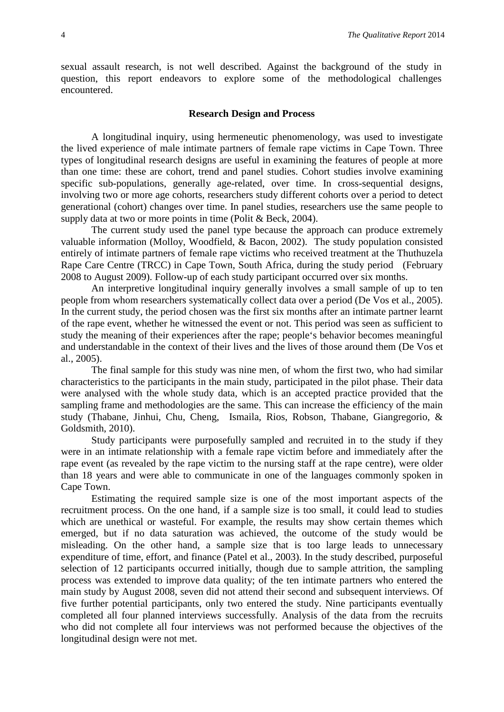sexual assault research, is not well described. Against the background of the study in question, this report endeavors to explore some of the methodological challenges encountered.

#### **Research Design and Process**

A longitudinal inquiry, using hermeneutic phenomenology, was used to investigate the lived experience of male intimate partners of female rape victims in Cape Town. Three types of longitudinal research designs are useful in examining the features of people at more than one time: these are cohort, trend and panel studies. Cohort studies involve examining specific sub-populations, generally age-related, over time. In cross-sequential designs, involving two or more age cohorts, researchers study different cohorts over a period to detect generational (cohort) changes over time. In panel studies, researchers use the same people to supply data at two or more points in time (Polit & Beck, 2004).

The current study used the panel type because the approach can produce extremely valuable information (Molloy, Woodfield, & Bacon, 2002). The study population consisted entirely of intimate partners of female rape victims who received treatment at the Thuthuzela Rape Care Centre (TRCC) in Cape Town, South Africa, during the study period (February 2008 to August 2009). Follow-up of each study participant occurred over six months.

An interpretive longitudinal inquiry generally involves a small sample of up to ten people from whom researchers systematically collect data over a period (De Vos et al., 2005). In the current study, the period chosen was the first six months after an intimate partner learnt of the rape event, whether he witnessed the event or not. This period was seen as sufficient to study the meaning of their experiences after the rape; people's behavior becomes meaningful and understandable in the context of their lives and the lives of those around them (De Vos et al., 2005).

The final sample for this study was nine men, of whom the first two, who had similar characteristics to the participants in the main study, participated in the pilot phase. Their data were analysed with the whole study data, which is an accepted practice provided that the sampling frame and methodologies are the same. This can increase the efficiency of the main study (Thabane, Jinhui, Chu, Cheng, Ismaila, Rios, Robson, Thabane, Giangregorio, & Goldsmith, 2010).

Study participants were purposefully sampled and recruited in to the study if they were in an intimate relationship with a female rape victim before and immediately after the rape event (as revealed by the rape victim to the nursing staff at the rape centre), were older than 18 years and were able to communicate in one of the languages commonly spoken in Cape Town.

Estimating the required sample size is one of the most important aspects of the recruitment process. On the one hand, if a sample size is too small, it could lead to studies which are unethical or wasteful. For example, the results may show certain themes which emerged, but if no data saturation was achieved, the outcome of the study would be misleading. On the other hand, a sample size that is too large leads to unnecessary expenditure of time, effort, and finance (Patel et al., 2003). In the study described, purposeful selection of 12 participants occurred initially, though due to sample attrition, the sampling process was extended to improve data quality; of the ten intimate partners who entered the main study by August 2008, seven did not attend their second and subsequent interviews. Of five further potential participants, only two entered the study. Nine participants eventually completed all four planned interviews successfully. Analysis of the data from the recruits who did not complete all four interviews was not performed because the objectives of the longitudinal design were not met.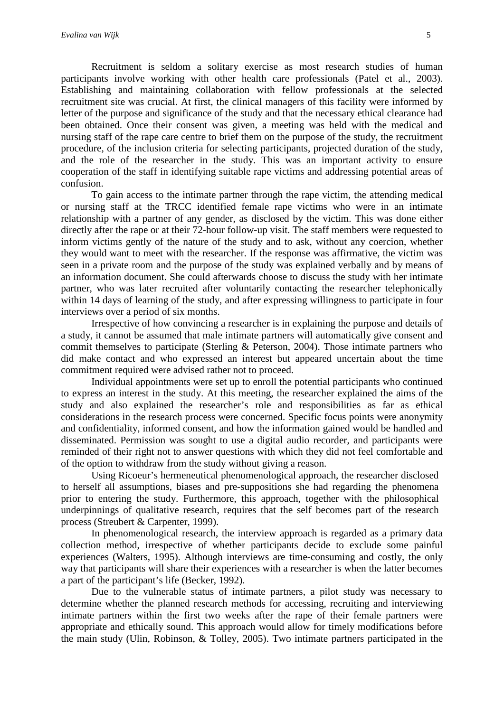Recruitment is seldom a solitary exercise as most research studies of human participants involve working with other health care professionals (Patel et al., 2003). Establishing and maintaining collaboration with fellow professionals at the selected recruitment site was crucial. At first, the clinical managers of this facility were informed by letter of the purpose and significance of the study and that the necessary ethical clearance had been obtained. Once their consent was given, a meeting was held with the medical and nursing staff of the rape care centre to brief them on the purpose of the study, the recruitment procedure, of the inclusion criteria for selecting participants, projected duration of the study, and the role of the researcher in the study. This was an important activity to ensure cooperation of the staff in identifying suitable rape victims and addressing potential areas of confusion.

To gain access to the intimate partner through the rape victim, the attending medical or nursing staff at the TRCC identified female rape victims who were in an intimate relationship with a partner of any gender, as disclosed by the victim. This was done either directly after the rape or at their 72-hour follow-up visit. The staff members were requested to inform victims gently of the nature of the study and to ask, without any coercion, whether they would want to meet with the researcher. If the response was affirmative, the victim was seen in a private room and the purpose of the study was explained verbally and by means of an information document. She could afterwards choose to discuss the study with her intimate partner, who was later recruited after voluntarily contacting the researcher telephonically within 14 days of learning of the study, and after expressing willingness to participate in four interviews over a period of six months.

Irrespective of how convincing a researcher is in explaining the purpose and details of a study, it cannot be assumed that male intimate partners will automatically give consent and commit themselves to participate (Sterling & Peterson, 2004). Those intimate partners who did make contact and who expressed an interest but appeared uncertain about the time commitment required were advised rather not to proceed.

Individual appointments were set up to enroll the potential participants who continued to express an interest in the study. At this meeting, the researcher explained the aims of the study and also explained the researcher's role and responsibilities as far as ethical considerations in the research process were concerned. Specific focus points were anonymity and confidentiality, informed consent, and how the information gained would be handled and disseminated. Permission was sought to use a digital audio recorder, and participants were reminded of their right not to answer questions with which they did not feel comfortable and of the option to withdraw from the study without giving a reason.

Using Ricoeur's hermeneutical phenomenological approach, the researcher disclosed to herself all assumptions, biases and pre-suppositions she had regarding the phenomena prior to entering the study. Furthermore, this approach, together with the philosophical underpinnings of qualitative research, requires that the self becomes part of the research process (Streubert & Carpenter, 1999).

In phenomenological research, the interview approach is regarded as a primary data collection method, irrespective of whether participants decide to exclude some painful experiences (Walters, 1995). Although interviews are time-consuming and costly, the only way that participants will share their experiences with a researcher is when the latter becomes a part of the participant's life (Becker, 1992).

Due to the vulnerable status of intimate partners, a pilot study was necessary to determine whether the planned research methods for accessing, recruiting and interviewing intimate partners within the first two weeks after the rape of their female partners were appropriate and ethically sound. This approach would allow for timely modifications before the main study (Ulin, Robinson, & Tolley, 2005). Two intimate partners participated in the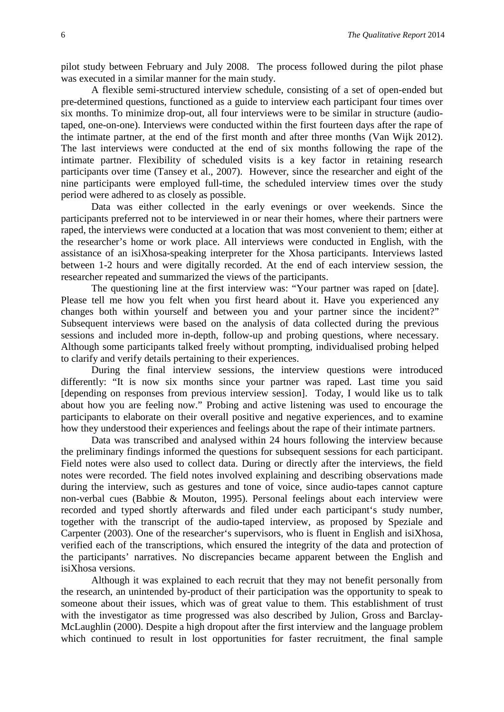pilot study between February and July 2008. The process followed during the pilot phase was executed in a similar manner for the main study.

A flexible semi-structured interview schedule, consisting of a set of open-ended but pre-determined questions, functioned as a guide to interview each participant four times over six months. To minimize drop-out, all four interviews were to be similar in structure (audiotaped, one-on-one). Interviews were conducted within the first fourteen days after the rape of the intimate partner, at the end of the first month and after three months (Van Wijk 2012). The last interviews were conducted at the end of six months following the rape of the intimate partner. Flexibility of scheduled visits is a key factor in retaining research participants over time (Tansey et al., 2007). However, since the researcher and eight of the nine participants were employed full-time, the scheduled interview times over the study period were adhered to as closely as possible.

Data was either collected in the early evenings or over weekends. Since the participants preferred not to be interviewed in or near their homes, where their partners were raped, the interviews were conducted at a location that was most convenient to them; either at the researcher's home or work place. All interviews were conducted in English, with the assistance of an isiXhosa-speaking interpreter for the Xhosa participants. Interviews lasted between 1-2 hours and were digitally recorded. At the end of each interview session, the researcher repeated and summarized the views of the participants.

The questioning line at the first interview was: "Your partner was raped on [date]. Please tell me how you felt when you first heard about it. Have you experienced any changes both within yourself and between you and your partner since the incident?" Subsequent interviews were based on the analysis of data collected during the previous sessions and included more in-depth, follow-up and probing questions, where necessary. Although some participants talked freely without prompting, individualised probing helped to clarify and verify details pertaining to their experiences.

During the final interview sessions, the interview questions were introduced differently: "It is now six months since your partner was raped. Last time you said [depending on responses from previous interview session]. Today, I would like us to talk about how you are feeling now." Probing and active listening was used to encourage the participants to elaborate on their overall positive and negative experiences, and to examine how they understood their experiences and feelings about the rape of their intimate partners.

Data was transcribed and analysed within 24 hours following the interview because the preliminary findings informed the questions for subsequent sessions for each participant. Field notes were also used to collect data. During or directly after the interviews, the field notes were recorded. The field notes involved explaining and describing observations made during the interview, such as gestures and tone of voice, since audio-tapes cannot capture non-verbal cues (Babbie & Mouton, 1995). Personal feelings about each interview were recorded and typed shortly afterwards and filed under each participant's study number, together with the transcript of the audio-taped interview, as proposed by Speziale and Carpenter (2003). One of the researcher's supervisors, who is fluent in English and isiXhosa, verified each of the transcriptions, which ensured the integrity of the data and protection of the participants' narratives. No discrepancies became apparent between the English and isiXhosa versions.

Although it was explained to each recruit that they may not benefit personally from the research, an unintended by-product of their participation was the opportunity to speak to someone about their issues, which was of great value to them. This establishment of trust with the investigator as time progressed was also described by Julion, Gross and Barclay-McLaughlin (2000). Despite a high dropout after the first interview and the language problem which continued to result in lost opportunities for faster recruitment, the final sample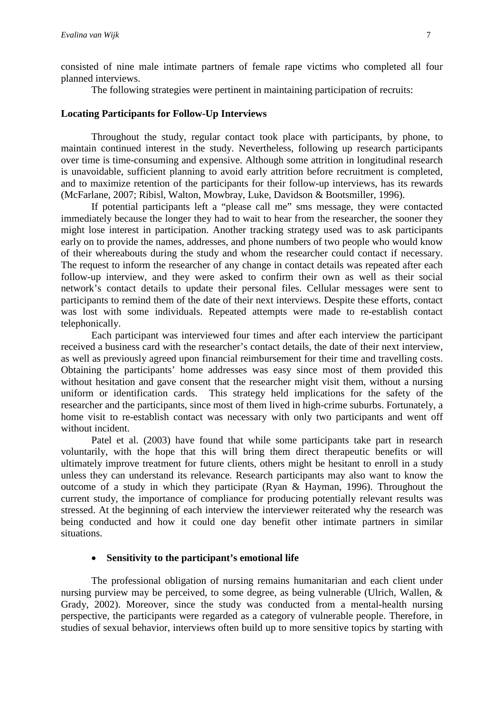consisted of nine male intimate partners of female rape victims who completed all four planned interviews.

The following strategies were pertinent in maintaining participation of recruits:

#### **Locating Participants for Follow-Up Interviews**

Throughout the study, regular contact took place with participants, by phone, to maintain continued interest in the study. Nevertheless, following up research participants over time is time-consuming and expensive. Although some attrition in longitudinal research is unavoidable, sufficient planning to avoid early attrition before recruitment is completed, and to maximize retention of the participants for their follow-up interviews, has its rewards (McFarlane, 2007; Ribisl, Walton, Mowbray, Luke, Davidson & Bootsmiller, 1996).

If potential participants left a "please call me" sms message, they were contacted immediately because the longer they had to wait to hear from the researcher, the sooner they might lose interest in participation. Another tracking strategy used was to ask participants early on to provide the names, addresses, and phone numbers of two people who would know of their whereabouts during the study and whom the researcher could contact if necessary. The request to inform the researcher of any change in contact details was repeated after each follow-up interview, and they were asked to confirm their own as well as their social network's contact details to update their personal files. Cellular messages were sent to participants to remind them of the date of their next interviews. Despite these efforts, contact was lost with some individuals. Repeated attempts were made to re-establish contact telephonically.

Each participant was interviewed four times and after each interview the participant received a business card with the researcher's contact details, the date of their next interview, as well as previously agreed upon financial reimbursement for their time and travelling costs. Obtaining the participants' home addresses was easy since most of them provided this without hesitation and gave consent that the researcher might visit them, without a nursing uniform or identification cards. This strategy held implications for the safety of the researcher and the participants, since most of them lived in high-crime suburbs. Fortunately, a home visit to re-establish contact was necessary with only two participants and went off without incident.

Patel et al. (2003) have found that while some participants take part in research voluntarily, with the hope that this will bring them direct therapeutic benefits or will ultimately improve treatment for future clients, others might be hesitant to enroll in a study unless they can understand its relevance. Research participants may also want to know the outcome of a study in which they participate (Ryan & Hayman, 1996). Throughout the current study, the importance of compliance for producing potentially relevant results was stressed. At the beginning of each interview the interviewer reiterated why the research was being conducted and how it could one day benefit other intimate partners in similar situations.

#### • **Sensitivity to the participant's emotional life**

The professional obligation of nursing remains humanitarian and each client under nursing purview may be perceived, to some degree, as being vulnerable (Ulrich, Wallen, & Grady, 2002). Moreover, since the study was conducted from a mental-health nursing perspective, the participants were regarded as a category of vulnerable people. Therefore, in studies of sexual behavior, interviews often build up to more sensitive topics by starting with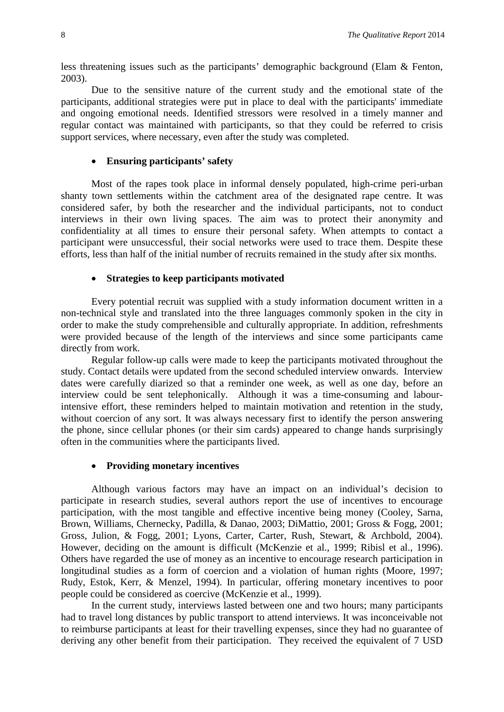less threatening issues such as the participants' demographic background (Elam & Fenton, 2003).

Due to the sensitive nature of the current study and the emotional state of the participants, additional strategies were put in place to deal with the participants' immediate and ongoing emotional needs. Identified stressors were resolved in a timely manner and regular contact was maintained with participants, so that they could be referred to crisis support services, where necessary, even after the study was completed.

#### • **Ensuring participants' safety**

Most of the rapes took place in informal densely populated, high-crime peri-urban shanty town settlements within the catchment area of the designated rape centre. It was considered safer, by both the researcher and the individual participants, not to conduct interviews in their own living spaces. The aim was to protect their anonymity and confidentiality at all times to ensure their personal safety. When attempts to contact a participant were unsuccessful, their social networks were used to trace them. Despite these efforts, less than half of the initial number of recruits remained in the study after six months.

#### • **Strategies to keep participants motivated**

Every potential recruit was supplied with a study information document written in a non-technical style and translated into the three languages commonly spoken in the city in order to make the study comprehensible and culturally appropriate. In addition, refreshments were provided because of the length of the interviews and since some participants came directly from work.

Regular follow-up calls were made to keep the participants motivated throughout the study. Contact details were updated from the second scheduled interview onwards. Interview dates were carefully diarized so that a reminder one week, as well as one day, before an interview could be sent telephonically. Although it was a time-consuming and labourintensive effort, these reminders helped to maintain motivation and retention in the study, without coercion of any sort. It was always necessary first to identify the person answering the phone, since cellular phones (or their sim cards) appeared to change hands surprisingly often in the communities where the participants lived.

#### • **Providing monetary incentives**

Although various factors may have an impact on an individual's decision to participate in research studies, several authors report the use of incentives to encourage participation, with the most tangible and effective incentive being money (Cooley, Sarna, Brown, Williams, Chernecky, Padilla, & Danao, 2003; DiMattio, 2001; Gross & Fogg, 2001; Gross, Julion, & Fogg, 2001; Lyons, Carter, Carter, Rush, Stewart, & Archbold, 2004). However, deciding on the amount is difficult (McKenzie et al., 1999; Ribisl et al., 1996). Others have regarded the use of money as an incentive to encourage research participation in longitudinal studies as a form of coercion and a violation of human rights (Moore, 1997; Rudy, Estok, Kerr, & Menzel, 1994). In particular, offering monetary incentives to poor people could be considered as coercive (McKenzie et al., 1999).

In the current study, interviews lasted between one and two hours; many participants had to travel long distances by public transport to attend interviews. It was inconceivable not to reimburse participants at least for their travelling expenses, since they had no guarantee of deriving any other benefit from their participation. They received the equivalent of 7 USD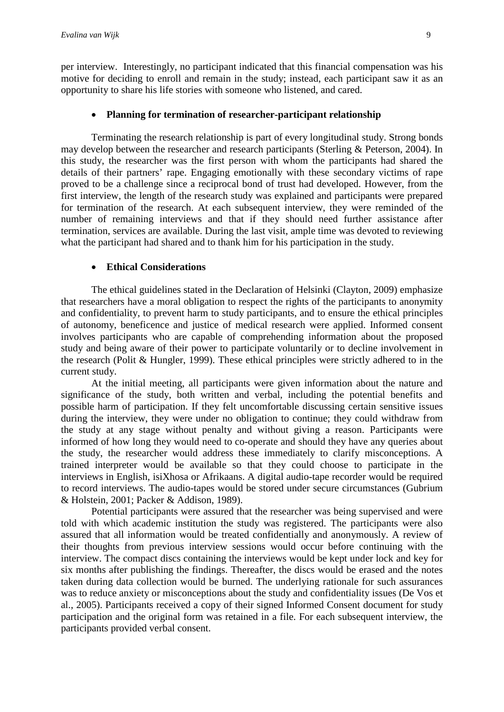per interview. Interestingly, no participant indicated that this financial compensation was his motive for deciding to enroll and remain in the study; instead, each participant saw it as an opportunity to share his life stories with someone who listened, and cared.

#### • **Planning for termination of researcher-participant relationship**

Terminating the research relationship is part of every longitudinal study. Strong bonds may develop between the researcher and research participants (Sterling & Peterson, 2004). In this study, the researcher was the first person with whom the participants had shared the details of their partners' rape. Engaging emotionally with these secondary victims of rape proved to be a challenge since a reciprocal bond of trust had developed. However, from the first interview, the length of the research study was explained and participants were prepared for termination of the research. At each subsequent interview, they were reminded of the number of remaining interviews and that if they should need further assistance after termination, services are available. During the last visit, ample time was devoted to reviewing what the participant had shared and to thank him for his participation in the study.

#### • **Ethical Considerations**

The ethical guidelines stated in the Declaration of Helsinki (Clayton, 2009) emphasize that researchers have a moral obligation to respect the rights of the participants to anonymity and confidentiality, to prevent harm to study participants, and to ensure the ethical principles of autonomy, beneficence and justice of medical research were applied. Informed consent involves participants who are capable of comprehending information about the proposed study and being aware of their power to participate voluntarily or to decline involvement in the research (Polit & Hungler, 1999). These ethical principles were strictly adhered to in the current study.

At the initial meeting, all participants were given information about the nature and significance of the study, both written and verbal, including the potential benefits and possible harm of participation. If they felt uncomfortable discussing certain sensitive issues during the interview, they were under no obligation to continue; they could withdraw from the study at any stage without penalty and without giving a reason. Participants were informed of how long they would need to co-operate and should they have any queries about the study, the researcher would address these immediately to clarify misconceptions. A trained interpreter would be available so that they could choose to participate in the interviews in English, isiXhosa or Afrikaans. A digital audio-tape recorder would be required to record interviews. The audio-tapes would be stored under secure circumstances (Gubrium & Holstein, 2001; Packer & Addison, 1989).

Potential participants were assured that the researcher was being supervised and were told with which academic institution the study was registered. The participants were also assured that all information would be treated confidentially and anonymously. A review of their thoughts from previous interview sessions would occur before continuing with the interview. The compact discs containing the interviews would be kept under lock and key for six months after publishing the findings. Thereafter, the discs would be erased and the notes taken during data collection would be burned. The underlying rationale for such assurances was to reduce anxiety or misconceptions about the study and confidentiality issues (De Vos et al., 2005). Participants received a copy of their signed Informed Consent document for study participation and the original form was retained in a file. For each subsequent interview, the participants provided verbal consent.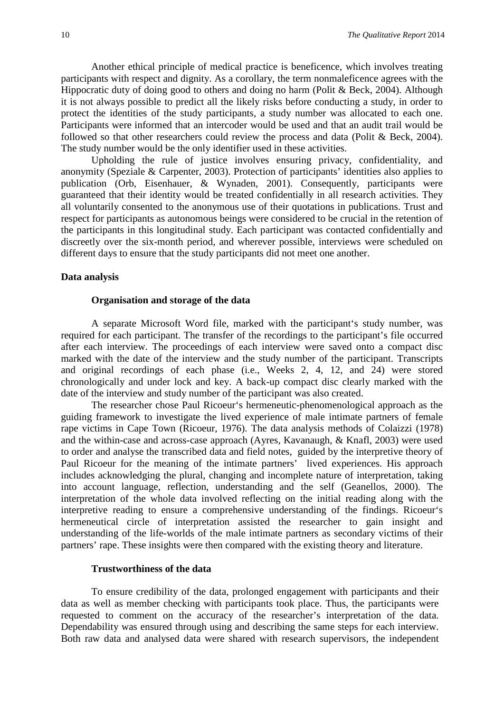Another ethical principle of medical practice is beneficence, which involves treating participants with respect and dignity. As a corollary, the term nonmaleficence agrees with the Hippocratic duty of doing good to others and doing no harm (Polit & Beck, 2004). Although it is not always possible to predict all the likely risks before conducting a study, in order to protect the identities of the study participants, a study number was allocated to each one. Participants were informed that an intercoder would be used and that an audit trail would be followed so that other researchers could review the process and data (Polit & Beck, 2004). The study number would be the only identifier used in these activities.

Upholding the rule of justice involves ensuring privacy, confidentiality, and anonymity (Speziale & Carpenter, 2003). Protection of participants' identities also applies to publication (Orb, Eisenhauer, & Wynaden, 2001). Consequently, participants were guaranteed that their identity would be treated confidentially in all research activities. They all voluntarily consented to the anonymous use of their quotations in publications. Trust and respect for participants as autonomous beings were considered to be crucial in the retention of the participants in this longitudinal study. Each participant was contacted confidentially and discreetly over the six-month period, and wherever possible, interviews were scheduled on different days to ensure that the study participants did not meet one another.

#### **Data analysis**

#### **Organisation and storage of the data**

A separate Microsoft Word file, marked with the participant's study number, was required for each participant. The transfer of the recordings to the participant's file occurred after each interview. The proceedings of each interview were saved onto a compact disc marked with the date of the interview and the study number of the participant. Transcripts and original recordings of each phase (i.e., Weeks 2, 4, 12, and 24) were stored chronologically and under lock and key. A back-up compact disc clearly marked with the date of the interview and study number of the participant was also created.

The researcher chose Paul Ricoeur's hermeneutic-phenomenological approach as the guiding framework to investigate the lived experience of male intimate partners of female rape victims in Cape Town (Ricoeur, 1976). The data analysis methods of Colaizzi (1978) and the within-case and across-case approach (Ayres, Kavanaugh, & Knafl, 2003) were used to order and analyse the transcribed data and field notes, guided by the interpretive theory of Paul Ricoeur for the meaning of the intimate partners' lived experiences. His approach includes acknowledging the plural, changing and incomplete nature of interpretation, taking into account language, reflection, understanding and the self (Geanellos, 2000). The interpretation of the whole data involved reflecting on the initial reading along with the interpretive reading to ensure a comprehensive understanding of the findings. Ricoeur's hermeneutical circle of interpretation assisted the researcher to gain insight and understanding of the life-worlds of the male intimate partners as secondary victims of their partners' rape. These insights were then compared with the existing theory and literature.

#### **Trustworthiness of the data**

To ensure credibility of the data, prolonged engagement with participants and their data as well as member checking with participants took place. Thus, the participants were requested to comment on the accuracy of the researcher's interpretation of the data. Dependability was ensured through using and describing the same steps for each interview. Both raw data and analysed data were shared with research supervisors, the independent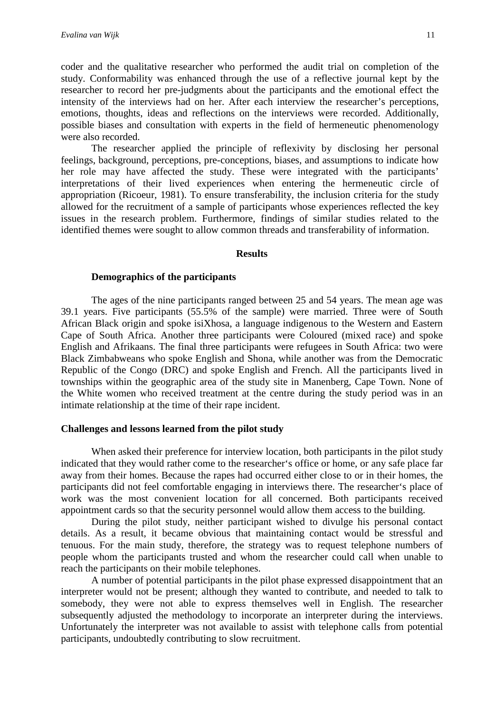coder and the qualitative researcher who performed the audit trial on completion of the study. Conformability was enhanced through the use of a reflective journal kept by the researcher to record her pre-judgments about the participants and the emotional effect the intensity of the interviews had on her. After each interview the researcher's perceptions, emotions, thoughts, ideas and reflections on the interviews were recorded. Additionally, possible biases and consultation with experts in the field of hermeneutic phenomenology were also recorded.

The researcher applied the principle of reflexivity by disclosing her personal feelings, background, perceptions, pre-conceptions, biases, and assumptions to indicate how her role may have affected the study. These were integrated with the participants' interpretations of their lived experiences when entering the hermeneutic circle of appropriation (Ricoeur, 1981). To ensure transferability, the inclusion criteria for the study allowed for the recruitment of a sample of participants whose experiences reflected the key issues in the research problem. Furthermore, findings of similar studies related to the identified themes were sought to allow common threads and transferability of information.

#### **Results**

#### **Demographics of the participants**

The ages of the nine participants ranged between 25 and 54 years. The mean age was 39.1 years. Five participants (55.5% of the sample) were married. Three were of South African Black origin and spoke isiXhosa, a language indigenous to the Western and Eastern Cape of South Africa. Another three participants were Coloured (mixed race) and spoke English and Afrikaans. The final three participants were refugees in South Africa: two were Black Zimbabweans who spoke English and Shona, while another was from the Democratic Republic of the Congo (DRC) and spoke English and French. All the participants lived in townships within the geographic area of the study site in Manenberg, Cape Town. None of the White women who received treatment at the centre during the study period was in an intimate relationship at the time of their rape incident.

#### **Challenges and lessons learned from the pilot study**

When asked their preference for interview location, both participants in the pilot study indicated that they would rather come to the researcher's office or home, or any safe place far away from their homes. Because the rapes had occurred either close to or in their homes, the participants did not feel comfortable engaging in interviews there. The researcher's place of work was the most convenient location for all concerned. Both participants received appointment cards so that the security personnel would allow them access to the building.

During the pilot study, neither participant wished to divulge his personal contact details. As a result, it became obvious that maintaining contact would be stressful and tenuous. For the main study, therefore, the strategy was to request telephone numbers of people whom the participants trusted and whom the researcher could call when unable to reach the participants on their mobile telephones.

A number of potential participants in the pilot phase expressed disappointment that an interpreter would not be present; although they wanted to contribute, and needed to talk to somebody, they were not able to express themselves well in English. The researcher subsequently adjusted the methodology to incorporate an interpreter during the interviews. Unfortunately the interpreter was not available to assist with telephone calls from potential participants, undoubtedly contributing to slow recruitment.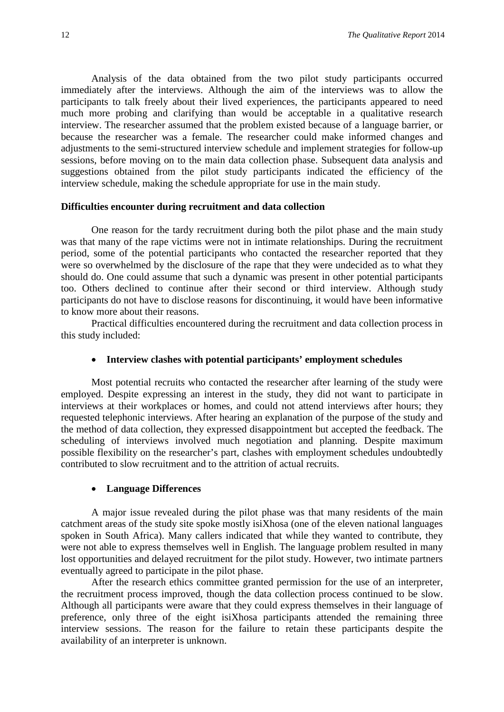Analysis of the data obtained from the two pilot study participants occurred immediately after the interviews. Although the aim of the interviews was to allow the participants to talk freely about their lived experiences, the participants appeared to need much more probing and clarifying than would be acceptable in a qualitative research interview. The researcher assumed that the problem existed because of a language barrier, or because the researcher was a female. The researcher could make informed changes and adjustments to the semi-structured interview schedule and implement strategies for follow-up sessions, before moving on to the main data collection phase. Subsequent data analysis and suggestions obtained from the pilot study participants indicated the efficiency of the interview schedule, making the schedule appropriate for use in the main study.

#### **Difficulties encounter during recruitment and data collection**

One reason for the tardy recruitment during both the pilot phase and the main study was that many of the rape victims were not in intimate relationships. During the recruitment period, some of the potential participants who contacted the researcher reported that they were so overwhelmed by the disclosure of the rape that they were undecided as to what they should do. One could assume that such a dynamic was present in other potential participants too. Others declined to continue after their second or third interview. Although study participants do not have to disclose reasons for discontinuing, it would have been informative to know more about their reasons.

Practical difficulties encountered during the recruitment and data collection process in this study included:

#### • **Interview clashes with potential participants' employment schedules**

Most potential recruits who contacted the researcher after learning of the study were employed. Despite expressing an interest in the study, they did not want to participate in interviews at their workplaces or homes, and could not attend interviews after hours; they requested telephonic interviews. After hearing an explanation of the purpose of the study and the method of data collection, they expressed disappointment but accepted the feedback. The scheduling of interviews involved much negotiation and planning. Despite maximum possible flexibility on the researcher's part, clashes with employment schedules undoubtedly contributed to slow recruitment and to the attrition of actual recruits.

#### • **Language Differences**

A major issue revealed during the pilot phase was that many residents of the main catchment areas of the study site spoke mostly isiXhosa (one of the eleven national languages spoken in South Africa). Many callers indicated that while they wanted to contribute, they were not able to express themselves well in English. The language problem resulted in many lost opportunities and delayed recruitment for the pilot study. However, two intimate partners eventually agreed to participate in the pilot phase.

After the research ethics committee granted permission for the use of an interpreter, the recruitment process improved, though the data collection process continued to be slow. Although all participants were aware that they could express themselves in their language of preference, only three of the eight isiXhosa participants attended the remaining three interview sessions. The reason for the failure to retain these participants despite the availability of an interpreter is unknown.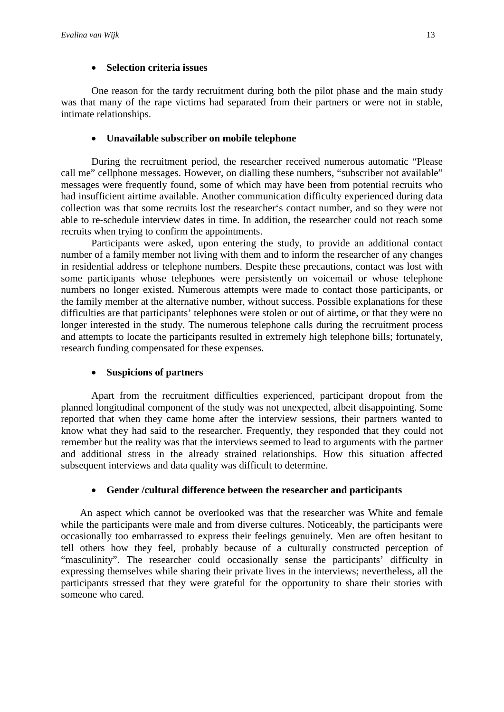#### • **Selection criteria issues**

One reason for the tardy recruitment during both the pilot phase and the main study was that many of the rape victims had separated from their partners or were not in stable, intimate relationships.

#### • **Unavailable subscriber on mobile telephone**

During the recruitment period, the researcher received numerous automatic "Please call me" cellphone messages. However, on dialling these numbers, "subscriber not available" messages were frequently found, some of which may have been from potential recruits who had insufficient airtime available. Another communication difficulty experienced during data collection was that some recruits lost the researcher's contact number, and so they were not able to re-schedule interview dates in time. In addition, the researcher could not reach some recruits when trying to confirm the appointments.

Participants were asked, upon entering the study, to provide an additional contact number of a family member not living with them and to inform the researcher of any changes in residential address or telephone numbers. Despite these precautions, contact was lost with some participants whose telephones were persistently on voicemail or whose telephone numbers no longer existed. Numerous attempts were made to contact those participants, or the family member at the alternative number, without success. Possible explanations for these difficulties are that participants' telephones were stolen or out of airtime, or that they were no longer interested in the study. The numerous telephone calls during the recruitment process and attempts to locate the participants resulted in extremely high telephone bills; fortunately, research funding compensated for these expenses.

#### • **Suspicions of partners**

Apart from the recruitment difficulties experienced, participant dropout from the planned longitudinal component of the study was not unexpected, albeit disappointing. Some reported that when they came home after the interview sessions, their partners wanted to know what they had said to the researcher. Frequently, they responded that they could not remember but the reality was that the interviews seemed to lead to arguments with the partner and additional stress in the already strained relationships. How this situation affected subsequent interviews and data quality was difficult to determine.

#### • **Gender /cultural difference between the researcher and participants**

An aspect which cannot be overlooked was that the researcher was White and female while the participants were male and from diverse cultures. Noticeably, the participants were occasionally too embarrassed to express their feelings genuinely. Men are often hesitant to tell others how they feel, probably because of a culturally constructed perception of "masculinity". The researcher could occasionally sense the participants' difficulty in expressing themselves while sharing their private lives in the interviews; nevertheless, all the participants stressed that they were grateful for the opportunity to share their stories with someone who cared.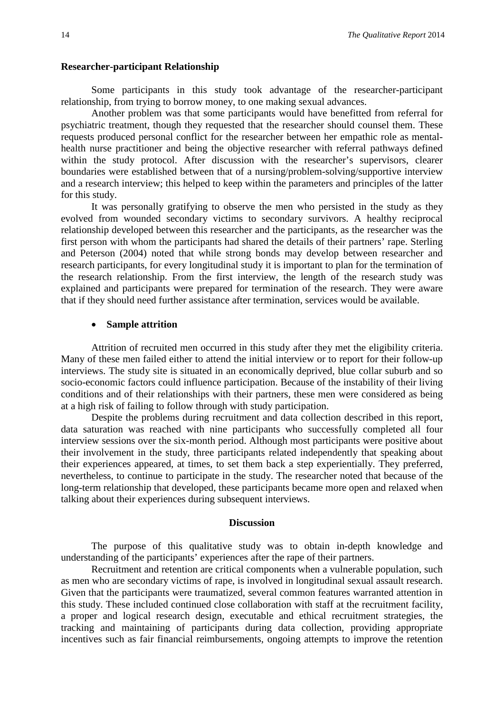#### **Researcher-participant Relationship**

Some participants in this study took advantage of the researcher-participant relationship, from trying to borrow money, to one making sexual advances.

Another problem was that some participants would have benefitted from referral for psychiatric treatment, though they requested that the researcher should counsel them. These requests produced personal conflict for the researcher between her empathic role as mentalhealth nurse practitioner and being the objective researcher with referral pathways defined within the study protocol. After discussion with the researcher's supervisors, clearer boundaries were established between that of a nursing/problem-solving/supportive interview and a research interview; this helped to keep within the parameters and principles of the latter for this study.

It was personally gratifying to observe the men who persisted in the study as they evolved from wounded secondary victims to secondary survivors. A healthy reciprocal relationship developed between this researcher and the participants, as the researcher was the first person with whom the participants had shared the details of their partners' rape. Sterling and Peterson (2004) noted that while strong bonds may develop between researcher and research participants, for every longitudinal study it is important to plan for the termination of the research relationship. From the first interview, the length of the research study was explained and participants were prepared for termination of the research. They were aware that if they should need further assistance after termination, services would be available.

#### • **Sample attrition**

Attrition of recruited men occurred in this study after they met the eligibility criteria. Many of these men failed either to attend the initial interview or to report for their follow-up interviews. The study site is situated in an economically deprived, blue collar suburb and so socio-economic factors could influence participation. Because of the instability of their living conditions and of their relationships with their partners, these men were considered as being at a high risk of failing to follow through with study participation.

Despite the problems during recruitment and data collection described in this report, data saturation was reached with nine participants who successfully completed all four interview sessions over the six-month period. Although most participants were positive about their involvement in the study, three participants related independently that speaking about their experiences appeared, at times, to set them back a step experientially. They preferred, nevertheless, to continue to participate in the study. The researcher noted that because of the long-term relationship that developed, these participants became more open and relaxed when talking about their experiences during subsequent interviews.

#### **Discussion**

The purpose of this qualitative study was to obtain in-depth knowledge and understanding of the participants' experiences after the rape of their partners.

Recruitment and retention are critical components when a vulnerable population, such as men who are secondary victims of rape, is involved in longitudinal sexual assault research. Given that the participants were traumatized, several common features warranted attention in this study. These included continued close collaboration with staff at the recruitment facility, a proper and logical research design, executable and ethical recruitment strategies, the tracking and maintaining of participants during data collection, providing appropriate incentives such as fair financial reimbursements, ongoing attempts to improve the retention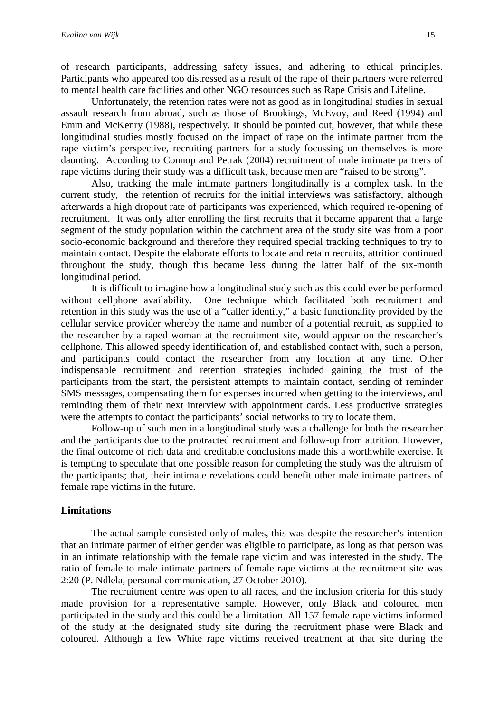of research participants, addressing safety issues, and adhering to ethical principles. Participants who appeared too distressed as a result of the rape of their partners were referred to mental health care facilities and other NGO resources such as Rape Crisis and Lifeline.

Unfortunately, the retention rates were not as good as in longitudinal studies in sexual assault research from abroad, such as those of Brookings, McEvoy, and Reed (1994) and Emm and McKenry (1988), respectively. It should be pointed out, however, that while these longitudinal studies mostly focused on the impact of rape on the intimate partner from the rape victim's perspective, recruiting partners for a study focussing on themselves is more daunting. According to Connop and Petrak (2004) recruitment of male intimate partners of rape victims during their study was a difficult task, because men are "raised to be strong".

Also, tracking the male intimate partners longitudinally is a complex task. In the current study, the retention of recruits for the initial interviews was satisfactory, although afterwards a high dropout rate of participants was experienced, which required re-opening of recruitment. It was only after enrolling the first recruits that it became apparent that a large segment of the study population within the catchment area of the study site was from a poor socio-economic background and therefore they required special tracking techniques to try to maintain contact. Despite the elaborate efforts to locate and retain recruits, attrition continued throughout the study, though this became less during the latter half of the six-month longitudinal period.

It is difficult to imagine how a longitudinal study such as this could ever be performed without cellphone availability. One technique which facilitated both recruitment and retention in this study was the use of a "caller identity," a basic functionality provided by the cellular service provider whereby the name and number of a potential recruit, as supplied to the researcher by a raped woman at the recruitment site, would appear on the researcher's cellphone. This allowed speedy identification of, and established contact with, such a person, and participants could contact the researcher from any location at any time. Other indispensable recruitment and retention strategies included gaining the trust of the participants from the start, the persistent attempts to maintain contact, sending of reminder SMS messages, compensating them for expenses incurred when getting to the interviews, and reminding them of their next interview with appointment cards. Less productive strategies were the attempts to contact the participants' social networks to try to locate them.

Follow-up of such men in a longitudinal study was a challenge for both the researcher and the participants due to the protracted recruitment and follow-up from attrition. However, the final outcome of rich data and creditable conclusions made this a worthwhile exercise. It is tempting to speculate that one possible reason for completing the study was the altruism of the participants; that, their intimate revelations could benefit other male intimate partners of female rape victims in the future.

#### **Limitations**

The actual sample consisted only of males, this was despite the researcher's intention that an intimate partner of either gender was eligible to participate, as long as that person was in an intimate relationship with the female rape victim and was interested in the study. The ratio of female to male intimate partners of female rape victims at the recruitment site was 2:20 (P. Ndlela, personal communication, 27 October 2010).

The recruitment centre was open to all races, and the inclusion criteria for this study made provision for a representative sample. However, only Black and coloured men participated in the study and this could be a limitation. All 157 female rape victims informed of the study at the designated study site during the recruitment phase were Black and coloured. Although a few White rape victims received treatment at that site during the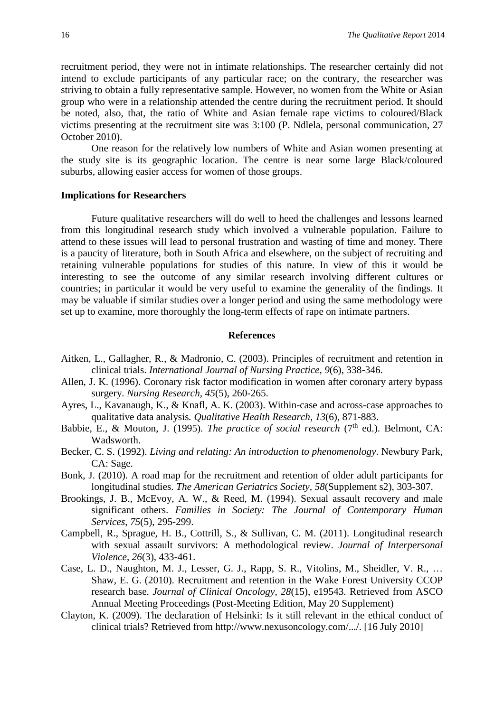recruitment period, they were not in intimate relationships. The researcher certainly did not intend to exclude participants of any particular race; on the contrary, the researcher was striving to obtain a fully representative sample. However, no women from the White or Asian group who were in a relationship attended the centre during the recruitment period. It should be noted, also, that, the ratio of White and Asian female rape victims to coloured/Black victims presenting at the recruitment site was 3:100 (P. Ndlela, personal communication, 27 October 2010).

One reason for the relatively low numbers of White and Asian women presenting at the study site is its geographic location. The centre is near some large Black/coloured suburbs, allowing easier access for women of those groups.

#### **Implications for Researchers**

Future qualitative researchers will do well to heed the challenges and lessons learned from this longitudinal research study which involved a vulnerable population. Failure to attend to these issues will lead to personal frustration and wasting of time and money. There is a paucity of literature, both in South Africa and elsewhere, on the subject of recruiting and retaining vulnerable populations for studies of this nature. In view of this it would be interesting to see the outcome of any similar research involving different cultures or countries; in particular it would be very useful to examine the generality of the findings. It may be valuable if similar studies over a longer period and using the same methodology were set up to examine, more thoroughly the long-term effects of rape on intimate partners.

#### **References**

- Aitken, L., Gallagher, R., & Madronio, C. (2003). Principles of recruitment and retention in clinical trials. *International Journal of Nursing Practice*, *9*(6), 338-346.
- Allen, J. K. (1996). Coronary risk factor modification in women after coronary artery bypass surgery. *Nursing Research, 45*(5), 260-265.
- Ayres, L., Kavanaugh, K., & Knafl, A. K. (2003). Within-case and across-case approaches to qualitative data analysis*. Qualitative Health Research*, *13*(6), 871-883.
- Babbie, E., & Mouton, J. (1995). *The practice of social research* (7<sup>th</sup> ed.). Belmont, CA: Wadsworth.
- Becker, C. S. (1992). *Living and relating: An introduction to phenomenology*. Newbury Park, CA: Sage.
- Bonk, J. (2010). A road map for the recruitment and retention of older adult participants for longitudinal studies. *The American Geriatrics Society, 58*(Supplement s2), 303-307.
- Brookings, J. B., McEvoy, A. W., & Reed, M. (1994). Sexual assault recovery and male significant others. *Families in Society: The Journal of Contemporary Human Services*, *75*(5), 295-299.
- Campbell, R., Sprague, H. B., Cottrill, S., & Sullivan, C. M. (2011). Longitudinal research with sexual assault survivors: A methodological review. *Journal of Interpersonal Violence*, *26*(3), 433-461.
- Case, L. D., Naughton, M. J., Lesser, G. J., Rapp, S. R., Vitolins, M., Sheidler, V. R., … Shaw, E. G. (2010). Recruitment and retention in the Wake Forest University CCOP research base. *Journal of Clinical Oncology*, *28*(15), e19543. Retrieved from ASCO Annual Meeting Proceedings (Post-Meeting Edition, May 20 Supplement)
- Clayton, K. (2009). The declaration of Helsinki: Is it still relevant in the ethical conduct of clinical trials? Retrieved from [http://www.nexusoncology.com/.../.](http://www.nexusoncology.com/.../) [16 July 2010]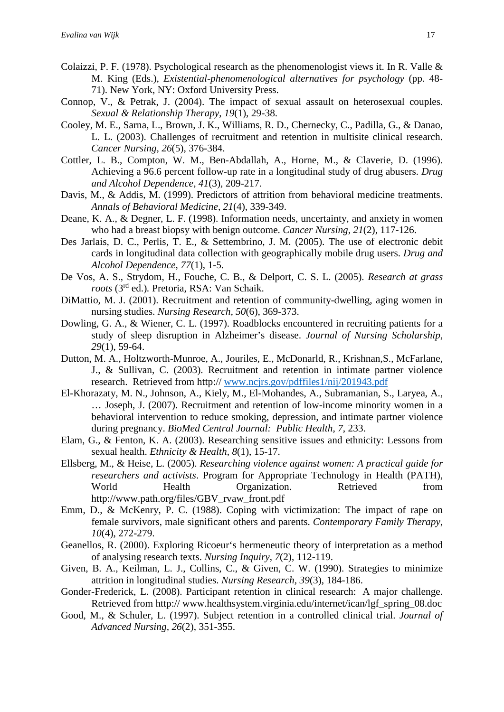- Colaizzi, P. F. (1978). Psychological research as the phenomenologist views it. In R. Valle & M. King (Eds.), *Existential-phenomenological alternatives for psychology* (pp. 48- 71). New York, NY: Oxford University Press.
- Connop, V., & Petrak, J. (2004). The impact of sexual assault on heterosexual couples. *Sexual & Relationship Therapy*, *19*(1), 29-38.
- Cooley, M. E., Sarna, L., Brown, J. K., Williams, R. D., Chernecky, C., Padilla, G., & Danao, L. L. (2003). Challenges of recruitment and retention in multisite clinical research. *Cancer Nursing, 26*(5), 376-384.
- Cottler, L. B., Compton, W. M., Ben-Abdallah, A., Horne, M., & Claverie, D. (1996). Achieving a 96.6 percent follow-up rate in a longitudinal study of drug abusers. *Drug and Alcohol Dependence, 41*(3)*,* 209-217.
- Davis, M., & Addis, M. (1999). Predictors of attrition from behavioral medicine treatments. *Annals of Behavioral Medicine*, *21*(4), 339-349.
- Deane, K. A., & Degner, L. F. (1998). Information needs, uncertainty, and anxiety in women who had a breast biopsy with benign outcome. *Cancer Nursing*, *21*(2), 117-126.
- Des Jarlais, D. C., Perlis, T. E., & Settembrino, J. M. (2005). The use of electronic debit cards in longitudinal data collection with geographically mobile drug users. *Drug and Alcohol Dependence*, *77*(1), 1-5.
- De Vos, A. S., Strydom, H., Fouche, C. B., & Delport, C. S. L. (2005). *Research at grass roots* (3rd ed.)*.* Pretoria, RSA: Van Schaik.
- DiMattio, M. J. (2001). Recruitment and retention of community-dwelling, aging women in nursing studies. *Nursing Research, 50*(6), 369-373.
- Dowling, G. A., & Wiener, C. L. (1997). Roadblocks encountered in recruiting patients for a study of sleep disruption in Alzheimer's disease. *Journal of Nursing Scholarship*, *29*(1), 59-64.
- Dutton, M. A., Holtzworth-Munroe, A., Jouriles, E., McDonarld, R., Krishnan,S., McFarlane, J., & Sullivan, C. (2003). Recruitment and retention in intimate partner violence research. Retrieved from http:// [www.ncjrs.gov/pdffiles1/nij/201943.pdf](http://www.ncjrs.gov/pdffiles1/nij/201943.pdf)
- El-Khorazaty, M. N., Johnson, A., Kiely, M., El-Mohandes, A., Subramanian, S., Laryea, A., … Joseph, J. (2007). Recruitment and retention of low-income minority women in a behavioral intervention to reduce smoking, depression, and intimate partner violence during pregnancy. *BioMed Central Journal: Public Health*, *7*, 233.
- Elam, G., & Fenton, K. A. (2003). Researching sensitive issues and ethnicity: Lessons from sexual health. *Ethnicity & Health*, *8*(1), 15-17.
- Ellsberg, M., & Heise, L. (2005). *Researching violence against women: A practical guide for researchers and activists*. Program for Appropriate Technology in Health (PATH), World Health Organization. Retrieved from [http://www.path.org/files/GBV\\_rvaw\\_front.pdf](http://www.path.org/files/GBV_rvaw_front.pdf)
- Emm, D., & McKenry, P. C. (1988). Coping with victimization: The impact of rape on female survivors, male significant others and parents. *Contemporary Family Therapy*, *10*(4), 272-279.
- Geanellos, R. (2000). Exploring Ricoeur's hermeneutic theory of interpretation as a method of analysing research texts. *Nursing Inquiry*, *7*(2), 112-119.
- Given, B. A., Keilman, L. J., Collins, C., & Given, C. W. (1990). Strategies to minimize attrition in longitudinal studies. *Nursing Research, 39*(3), 184-186.
- Gonder-Frederick, L. (2008). Participant retention in clinical research: A major challenge. Retrieved from http:// www.healthsystem.virginia.edu/internet/ican/lgf\_spring\_08.doc
- Good, M., & Schuler, L. (1997). Subject retention in a controlled clinical trial. *Journal of Advanced Nursing, 26*(2), 351-355.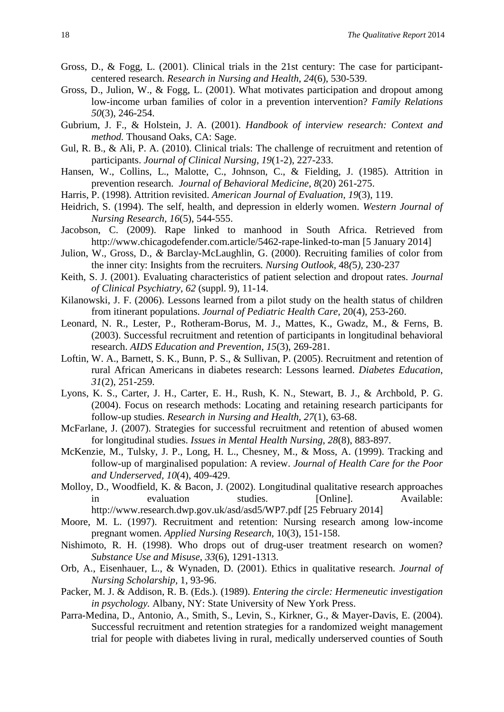- Gross, D., & Fogg, L. (2001). Clinical trials in the 21st century: The case for participantcentered research. *Research in Nursing and Health*, *24*(6), 530-539.
- Gross, D., Julion, W., & Fogg, L. (2001). What motivates participation and dropout among low-income urban families of color in a prevention intervention? Family Relations *50*(3), 246-254.
- Gubrium, J. F., & Holstein, J. A. (2001). *Handbook of interview research: Context and method.* Thousand Oaks, CA: Sage.
- Gul, R. B., & Ali, P. A. (2010). Clinical trials: The challenge of recruitment and retention of participants. *Journal of Clinical Nursing*, *19*(1-2), 227-233.
- Hansen, W., Collins, L., Malotte, C., Johnson, C., & Fielding, J. (1985). Attrition in prevention research. *Journal of Behavioral Medicine*, *8*(20) 261-275.
- Harris, P. (1998). Attrition revisited. *American Journal of Evaluation, 19*(3), 119.
- Heidrich, S. (1994). The self, health, and depression in elderly women. *Western Journal of Nursing Research, 16*(5), 544-555.
- Jacobson, C. (2009). Rape linked to manhood in South Africa. Retrieved from http://www.chicagodefender.com.article/5462-rape-linked-to-man [5 January 2014]
- Julion, W.*,* Gross, D.*, &* Barclay-McLaughlin, G. (2000). Recruiting families of color from the inner city: Insights from the recruiters*. Nursing Outlook,* 48*(*5*),* 230*-*237
- Keith, S. J. (2001). Evaluating characteristics of patient selection and dropout rates. *Journal of Clinical Psychiatry*, *62* (suppl. 9), 11-14.
- Kilanowski, J. F. (2006). Lessons learned from a pilot study on the health status of children from itinerant populations. *Journal of Pediatric Health Care*, 20(4), 253-260.
- Leonard, N. R., Lester, P., Rotheram-Borus, M. J., Mattes, K., Gwadz, M., & Ferns, B. (2003). Successful recruitment and retention of participants in longitudinal behavioral research. *AIDS Education and Prevention*, *15*(3), 269-281.
- Loftin, W. A., Barnett, S. K., Bunn, P. S., & Sullivan, P. (2005). Recruitment and retention of rural African Americans in diabetes research: Lessons learned. *Diabetes Education*, *31*(2), 251-259.
- Lyons, K. S., Carter, J. H., Carter, E. H., Rush, K. N., Stewart, B. J., & Archbold, P. G. (2004). Focus on research methods: Locating and retaining research participants for follow-up studies. *Research in Nursing and Health, 27*(1), 63-68.
- McFarlane, J. (2007). Strategies for successful recruitment and retention of abused women for longitudinal studies. *Issues in Mental Health Nursing*, *28*(8), 883-897.
- McKenzie, M., Tulsky, J. P., Long, H. L., Chesney, M., & Moss, A. (1999). Tracking and follow-up of marginalised population: A review. *Journal of Health Care for the Poor and Underserved, 10*(4), 409-429.
- Molloy, D., Woodfield, K. & Bacon, J. (2002). Longitudinal qualitative research approaches in evaluation studies. [Online]. Available: [http://www.research.dwp.gov.uk/asd/asd5/WP7.pdf \[25](http://www.research.dwp.gov.uk/asd/asd5/WP7.pdf%20%5b25) February 2014]
- Moore, M. L. (1997). Recruitment and retention: Nursing research among low-income pregnant women. *Applied Nursing Research,* 10(3), 151-158.
- Nishimoto, R. H. (1998). Who drops out of drug-user treatment research on women? *Substance Use and Misuse*, *33*(6), 1291-1313.
- Orb, A., Eisenhauer, L., & Wynaden, D. (2001). Ethics in qualitative research. *Journal of Nursing Scholarship,* 1, 93-96.
- Packer, M. J. & Addison, R. B. (Eds.). (1989). *Entering the circle: Hermeneutic investigation in psychology.* Albany, NY: State University of New York Press.
- Parra-Medina, D., Antonio, A., Smith, S., Levin, S., Kirkner, G., & Mayer-Davis, E. (2004). Successful recruitment and retention strategies for a randomized weight management trial for people with diabetes living in rural, medically underserved counties of South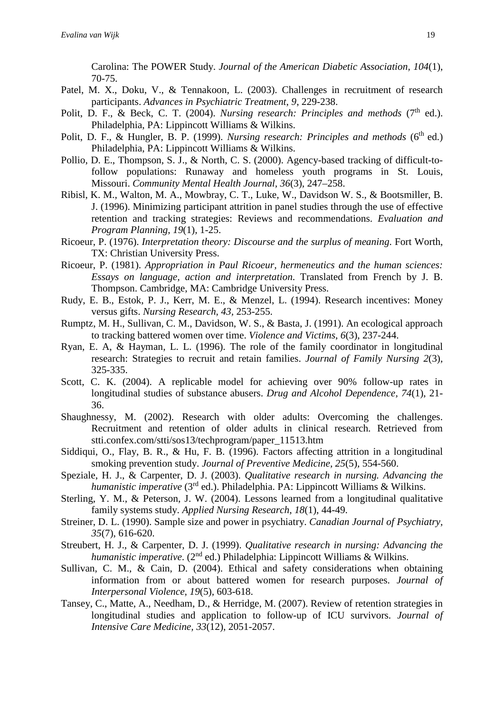Carolina: The POWER Study. *Journal of the American Diabetic Association, 104*(1), 70-75.

- Patel, M. X., Doku, V., & Tennakoon, L. (2003). Challenges in recruitment of research participants. *Advances in Psychiatric Treatment*, *9*, 229-238.
- Polit, D. F., & Beck, C. T. (2004). *Nursing research: Principles and methods* (7<sup>th</sup> ed.). Philadelphia, PA: Lippincott Williams & Wilkins.
- Polit, D. F., & Hungler, B. P. (1999). *Nursing research: Principles and methods* (6<sup>th</sup> ed.) Philadelphia, PA: Lippincott Williams & Wilkins.
- Pollio, D. E., Thompson, S. J., & North, C. S. (2000). Agency-based tracking of difficult-tofollow populations: Runaway and homeless youth programs in St. Louis, Missouri. *Community Mental Health Journal, 36*(3), 247–258.
- Ribisl, K. M., Walton, M. A., Mowbray, C. T., Luke, W., Davidson W. S., & Bootsmiller, B. J. (1996). Minimizing participant attrition in panel studies through the use of effective retention and tracking strategies: Reviews and recommendations. *Evaluation and Program Planning*, *19*(1), 1-25.
- Ricoeur, P. (1976). *Interpretation theory: Discourse and the surplus of meaning*. Fort Worth, TX: Christian University Press.
- Ricoeur, P. (1981). *Appropriation in Paul Ricoeur, hermeneutics and the human sciences: Essays on language, action and interpretation*. Translated from French by J. B. Thompson. Cambridge, MA: Cambridge University Press.
- Rudy, E. B., Estok, P. J., Kerr, M. E., & Menzel, L. (1994). Research incentives: Money versus gifts. *Nursing Research*, *43,* 253-255.
- Rumptz, M. H., Sullivan, C. M., Davidson, W. S., & Basta, J. (1991). An ecological approach to tracking battered women over time. *Violence and Victims*, *6*(3), 237-244.
- Ryan, E. A, & Hayman, L. L. (1996). The role of the family coordinator in longitudinal research: Strategies to recruit and retain families. *Journal of Family Nursing 2*(3)*,* 325-335.
- Scott, C. K. (2004). A replicable model for achieving over 90% follow-up rates in longitudinal studies of substance abusers. *Drug and Alcohol Dependence, 74*(1), 21- 36.
- Shaughnessy, M. (2002). Research with older adults: Overcoming the challenges. Recruitment and retention of older adults in clinical research. Retrieved from stti.confex.com/stti/sos13/techprogram/paper\_11513.htm
- Siddiqui, O., Flay, B. R., & Hu, F. B. (1996). Factors affecting attrition in a longitudinal smoking prevention study. *Journal of Preventive Medicine, 25*(5)*,* 554-560.
- Speziale, H. J., & Carpenter, D. J. (2003). *Qualitative research in nursing. Advancing the humanistic imperative* (3rd ed.). Philadelphia. PA: Lippincott Williams & Wilkins.
- Sterling, Y. M., & Peterson, J. W. (2004). Lessons learned from a longitudinal qualitative family systems study. *Applied Nursing Research*, *18*(1), 44-49.
- Streiner, D. L. (1990). Sample size and power in psychiatry. *Canadian Journal of Psychiatry, 35*(7), 616-620.
- Streubert, H. J., & Carpenter, D. J. (1999). *Qualitative research in nursing: Advancing the humanistic imperative.* (2<sup>nd</sup> ed.) Philadelphia: Lippincott Williams & Wilkins.
- Sullivan, C. M., & Cain, D. (2004). Ethical and safety considerations when obtaining information from or about battered women for research purposes. *Journal of Interpersonal Violence*, *19*(5), 603-618.
- Tansey, C., Matte, A., Needham, D., & Herridge, M. (2007). Review of retention strategies in longitudinal studies and application to follow-up of ICU survivors. *Journal of Intensive Care Medicine, 33*(12), 2051-2057.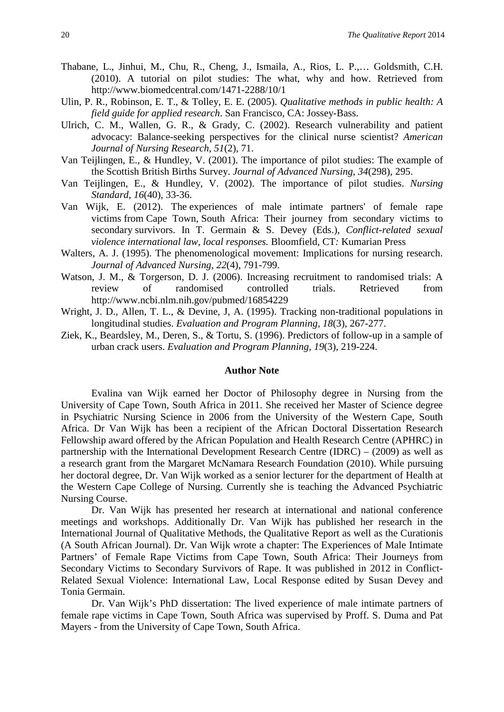- Thabane, L., Jinhui, M., Chu, R., Cheng, J., Ismaila, A., Rios, L. P.,… Goldsmith, C.H. (2010). A tutorial on pilot studies: The what, why and how. Retrieved from <http://www.biomedcentral.com/1471-2288/10/1>
- Ulin, P. R., Robinson, E. T., & Tolley, E. E. (2005). *Qualitative methods in public health: A field guide for applied research*. San Francisco, CA: Jossey-Bass.
- Ulrich, C. M., Wallen, G. R., & Grady, C. (2002). Research vulnerability and patient advocacy: Balance-seeking perspectives for the clinical nurse scientist? *American Journal of Nursing Research, 51*(2), 71.
- Van Teijlingen, E., & Hundley, V. (2001). The importance of pilot studies: The example of the Scottish British Births Survey. *Journal of Advanced Nursing*, *34*(298), 295.
- Van Teijlingen, E., & Hundley, V. (2002). The importance of pilot studies. *Nursing Standard*, *16*(40), 33-36.
- Van Wijk, E. (2012). The experiences of male intimate partners' of female rape victims from Cape Town, South Africa: Their journey from secondary victims to secondary survivors. In T. Germain & S. Devey (Eds.), *Conflict-related sexual violence international law, local responses.* Bloomfield, CT*:* Kumarian Press
- Walters, A. J. (1995). The phenomenological movement: Implications for nursing research. *Journal of Advanced Nursing, 22*(4), 791-799.
- Watson, J. M., & Torgerson, D. J. (2006). Increasing recruitment to randomised trials: A review of randomised controlled trials. Retrieved from http://www.ncbi.nlm.nih.gov/pubmed/16854229
- Wright, J. D., Allen, T. L., & Devine, J, A. (1995). Tracking non-traditional populations in longitudinal studies. *Evaluation and Program Planning, 18*(3), 267-277.
- Ziek, K., Beardsley, M., Deren, S., & Tortu, S. (1996). Predictors of follow-up in a sample of urban crack users. *Evaluation and Program Planning, 19*(3), 219-224.

#### **Author Note**

Evalina van Wijk earned her Doctor of Philosophy degree in Nursing from the University of Cape Town, South Africa in 2011. She received her Master of Science degree in Psychiatric Nursing Science in 2006 from the University of the Western Cape, South Africa. Dr Van Wijk has been a recipient of the African Doctoral Dissertation Research Fellowship award offered by the African Population and Health Research Centre (APHRC) in partnership with the International Development Research Centre (IDRC) – (2009) as well as a research grant from the Margaret McNamara Research Foundation (2010). While pursuing her doctoral degree, Dr. Van Wijk worked as a senior lecturer for the department of Health at the Western Cape College of Nursing. Currently she is teaching the Advanced Psychiatric Nursing Course.

Dr. Van Wijk has presented her research at international and national conference meetings and workshops. Additionally Dr. Van Wijk has published her research in the International Journal of Qualitative Methods, the Qualitative Report as well as the Curationis (A South African Journal). Dr. Van Wijk wrote a chapter: The Experiences of Male Intimate Partners' of Female Rape Victims from Cape Town, South Africa: Their Journeys from Secondary Victims to Secondary Survivors of Rape. It was published in 2012 in Conflict-Related Sexual Violence: International Law, Local Response edited by Susan Devey and Tonia Germain.

Dr. Van Wijk's PhD dissertation: The lived experience of male intimate partners of female rape victims in Cape Town, South Africa was supervised by Proff. S. Duma and Pat Mayers - from the University of Cape Town, South Africa.